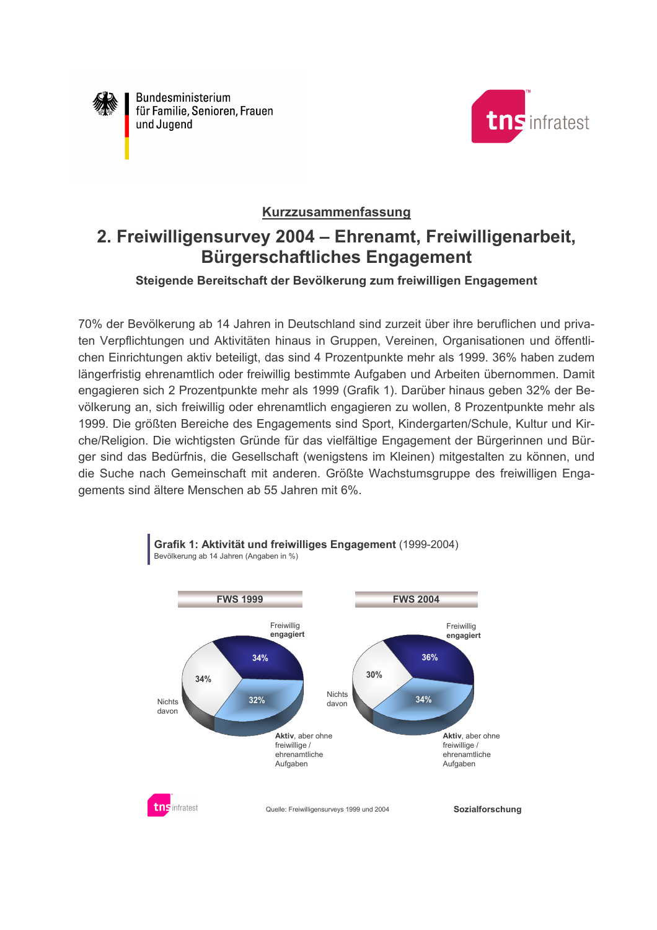

Bundesministerium für Familie, Senioren, Frauen und Jugend



## Kurzzusammenfassung

## 2. Freiwilligensurvey 2004 - Ehrenamt, Freiwilligenarbeit, **Bürgerschaftliches Engagement**

## Steigende Bereitschaft der Bevölkerung zum freiwilligen Engagement

70% der Bevölkerung ab 14 Jahren in Deutschland sind zurzeit über ihre beruflichen und privaten Verpflichtungen und Aktivitäten hinaus in Gruppen, Vereinen, Organisationen und öffentlichen Einrichtungen aktiv beteiligt, das sind 4 Prozentpunkte mehr als 1999. 36% haben zudem längerfristig ehrenamtlich oder freiwillig bestimmte Aufgaben und Arbeiten übernommen. Damit engagieren sich 2 Prozentpunkte mehr als 1999 (Grafik 1). Darüber hinaus geben 32% der Bevölkerung an, sich freiwillig oder ehrenamtlich engagieren zu wollen, 8 Prozentpunkte mehr als 1999. Die größten Bereiche des Engagements sind Sport, Kindergarten/Schule, Kultur und Kirche/Religion. Die wichtigsten Gründe für das vielfältige Engagement der Bürgerinnen und Bürger sind das Bedürfnis, die Gesellschaft (wenigstens im Kleinen) mitgestalten zu können, und die Suche nach Gemeinschaft mit anderen. Größte Wachstumsgruppe des freiwilligen Engagements sind ältere Menschen ab 55 Jahren mit 6%.



Grafik 1: Aktivität und freiwilliges Engagement (1999-2004) Bevölkerung ab 14 Jahren (Angaben in %)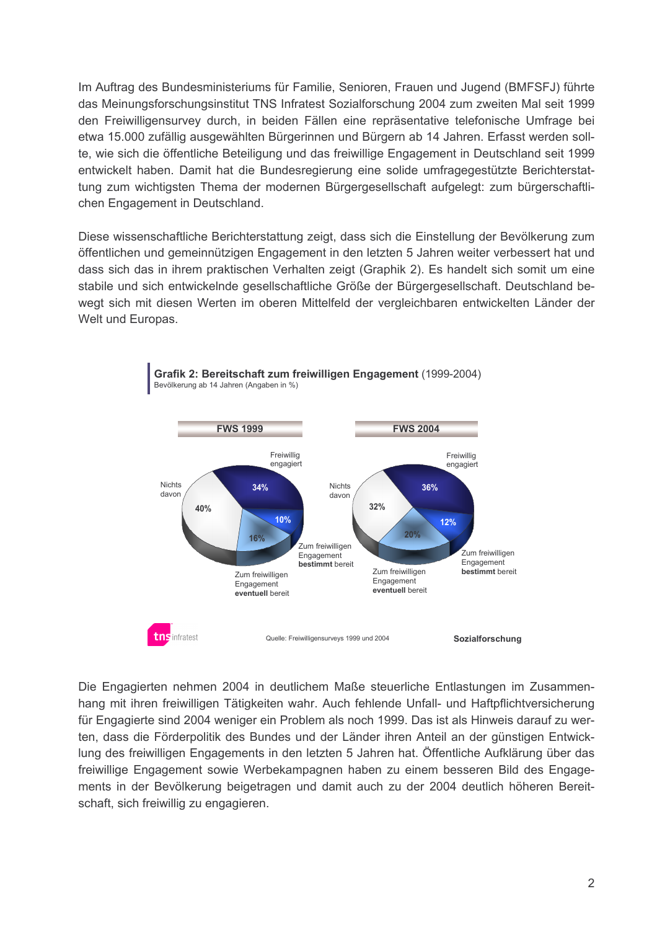Im Auftrag des Bundesministeriums für Familie, Senioren, Frauen und Jugend (BMFSFJ) führte das Meinungsforschungsinstitut TNS Infratest Sozialforschung 2004 zum zweiten Mal seit 1999 den Freiwilligensurvey durch, in beiden Fällen eine repräsentative telefonische Umfrage bei etwa 15.000 zufällig ausgewählten Bürgerinnen und Bürgern ab 14 Jahren. Erfasst werden sollte, wie sich die öffentliche Beteiligung und das freiwillige Engagement in Deutschland seit 1999 entwickelt haben. Damit hat die Bundesregierung eine solide umfragegestützte Berichterstattung zum wichtigsten Thema der modernen Bürgergesellschaft aufgelegt: zum bürgerschaftlichen Engagement in Deutschland.

Diese wissenschaftliche Berichterstattung zeigt, dass sich die Einstellung der Bevölkerung zum öffentlichen und gemeinnützigen Engagement in den letzten 5 Jahren weiter verbessert hat und dass sich das in ihrem praktischen Verhalten zeigt (Graphik 2). Es handelt sich somit um eine stabile und sich entwickelnde gesellschaftliche Größe der Bürgergesellschaft. Deutschland bewegt sich mit diesen Werten im oberen Mittelfeld der vergleichbaren entwickelten Länder der Welt und Europas.



Die Engagierten nehmen 2004 in deutlichem Maße steuerliche Entlastungen im Zusammenhang mit ihren freiwilligen Tätigkeiten wahr. Auch fehlende Unfall- und Haftpflichtversicherung für Engagierte sind 2004 weniger ein Problem als noch 1999. Das ist als Hinweis darauf zu werten, dass die Förderpolitik des Bundes und der Länder ihren Anteil an der günstigen Entwicklung des freiwilligen Engagements in den letzten 5 Jahren hat. Öffentliche Aufklärung über das freiwillige Engagement sowie Werbekampagnen haben zu einem besseren Bild des Engagements in der Bevölkerung beigetragen und damit auch zu der 2004 deutlich höheren Bereitschaft, sich freiwillig zu engagieren.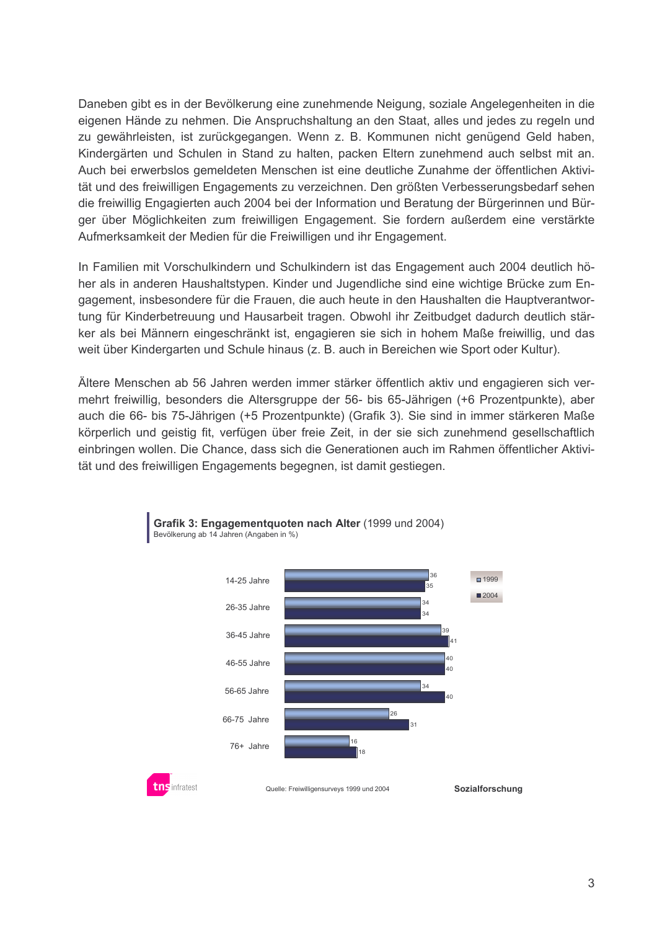Daneben gibt es in der Bevölkerung eine zunehmende Neigung, soziale Angelegenheiten in die eigenen Hände zu nehmen. Die Anspruchshaltung an den Staat, alles und jedes zu regeln und zu gewährleisten, ist zurückgegangen. Wenn z. B. Kommunen nicht genügend Geld haben, Kindergärten und Schulen in Stand zu halten, packen Eltern zunehmend auch selbst mit an. Auch bei erwerbslos gemeldeten Menschen ist eine deutliche Zunahme der öffentlichen Aktivität und des freiwilligen Engagements zu verzeichnen. Den größten Verbesserungsbedarf sehen die freiwillig Engagierten auch 2004 bei der Information und Beratung der Bürgerinnen und Bürger über Möglichkeiten zum freiwilligen Engagement. Sie fordern außerdem eine verstärkte Aufmerksamkeit der Medien für die Freiwilligen und ihr Engagement.

In Familien mit Vorschulkindern und Schulkindern ist das Engagement auch 2004 deutlich höher als in anderen Haushaltstypen. Kinder und Jugendliche sind eine wichtige Brücke zum Engagement, insbesondere für die Frauen, die auch heute in den Haushalten die Hauptverantwortung für Kinderbetreuung und Hausarbeit tragen. Obwohl ihr Zeitbudget dadurch deutlich stärker als bei Männern eingeschränkt ist, engagieren sie sich in hohem Maße freiwillig, und das weit über Kindergarten und Schule hinaus (z. B. auch in Bereichen wie Sport oder Kultur).

Ältere Menschen ab 56 Jahren werden immer stärker öffentlich aktiv und engagieren sich vermehrt freiwillig, besonders die Altersgruppe der 56- bis 65-Jährigen (+6 Prozentpunkte), aber auch die 66- bis 75-Jährigen (+5 Prozentpunkte) (Grafik 3). Sie sind in immer stärkeren Maße körperlich und geistig fit, verfügen über freie Zeit, in der sie sich zunehmend gesellschaftlich einbringen wollen. Die Chance, dass sich die Generationen auch im Rahmen öffentlicher Aktivität und des freiwilligen Engagements begegnen, ist damit gestiegen.



Grafik 3: Engagementquoten nach Alter (1999 und 2004) Bevölkerung ab 14 Jahren (Angaben in %)